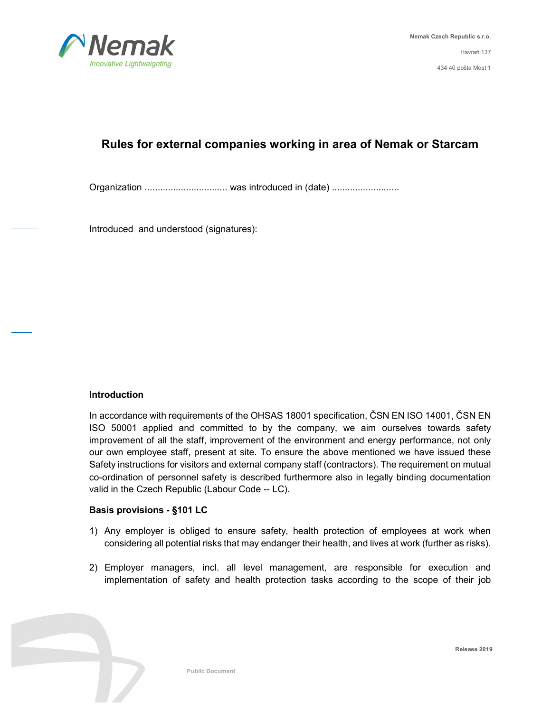

# **Rules for external companies working in area of Nemak or Starcam**

Organization ................................ was introduced in (date) ..........................

Introduced and understood (signatures):

# **Introduction**

In accordance with requirements of the OHSAS 18001 specification, ČSN EN ISO 14001, ČSN EN ISO 50001 applied and committed to by the company, we aim ourselves towards safety improvement of all the staff, improvement of the environment and energy performance, not only our own employee staff, present at site. To ensure the above mentioned we have issued these Safety instructions for visitors and external company staff (contractors). The requirement on mutual co-ordination of personnel safety is described furthermore also in legally binding documentation valid in the Czech Republic (Labour Code -- LC).

#### **Basis provisions - §101 LC**

- 1) Any employer is obliged to ensure safety, health protection of employees at work when considering all potential risks that may endanger their health, and lives at work (further as risks).
- 2) Employer managers, incl. all level management, are responsible for execution and implementation of safety and health protection tasks according to the scope of their job

**Release 2019**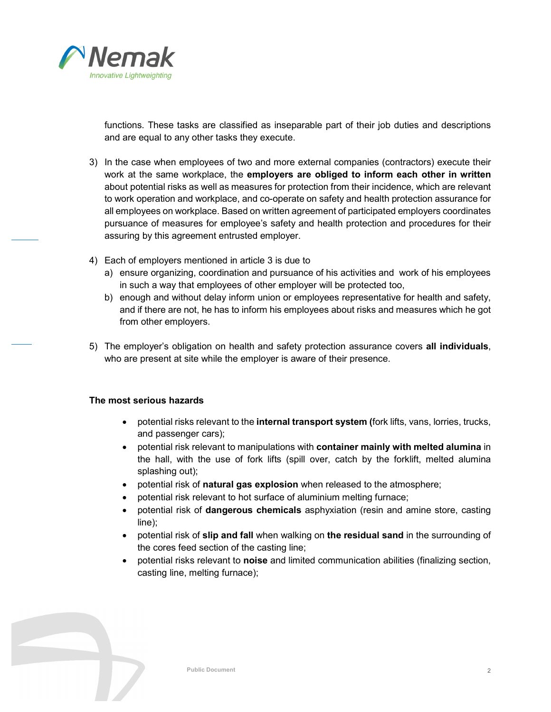

functions. These tasks are classified as inseparable part of their job duties and descriptions and are equal to any other tasks they execute.

- 3) In the case when employees of two and more external companies (contractors) execute their work at the same workplace, the **employers are obliged to inform each other in written**  about potential risks as well as measures for protection from their incidence, which are relevant to work operation and workplace, and co-operate on safety and health protection assurance for all employees on workplace. Based on written agreement of participated employers coordinates pursuance of measures for employee's safety and health protection and procedures for their assuring by this agreement entrusted employer.
- 4) Each of employers mentioned in article 3 is due to
	- a) ensure organizing, coordination and pursuance of his activities and work of his employees in such a way that employees of other employer will be protected too,
	- b) enough and without delay inform union or employees representative for health and safety, and if there are not, he has to inform his employees about risks and measures which he got from other employers.
- 5) The employer's obligation on health and safety protection assurance covers **all individuals**, who are present at site while the employer is aware of their presence.

# **The most serious hazards**

- potential risks relevant to the **internal transport system (**fork lifts, vans, lorries, trucks, and passenger cars);
- potential risk relevant to manipulations with **container mainly with melted alumina** in the hall, with the use of fork lifts (spill over, catch by the forklift, melted alumina splashing out);
- potential risk of **natural gas explosion** when released to the atmosphere;
- potential risk relevant to hot surface of aluminium melting furnace;
- potential risk of **dangerous chemicals** asphyxiation (resin and amine store, casting line);
- potential risk of **slip and fall** when walking on **the residual sand** in the surrounding of the cores feed section of the casting line;
- potential risks relevant to **noise** and limited communication abilities (finalizing section, casting line, melting furnace);

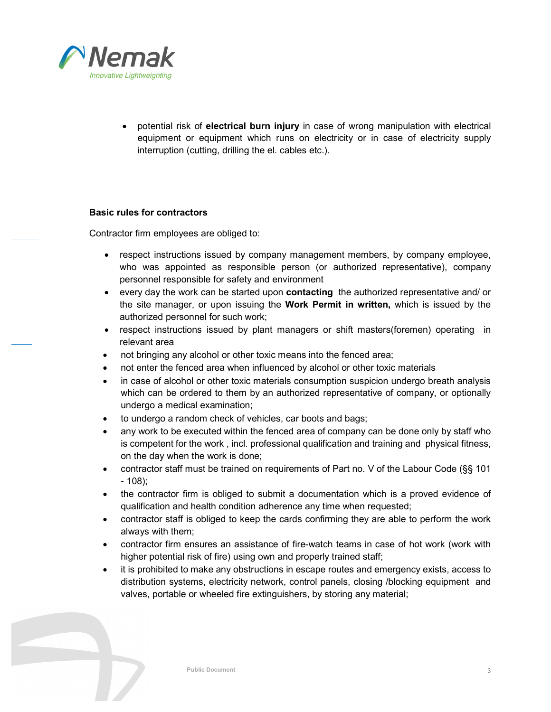

• potential risk of **electrical burn injury** in case of wrong manipulation with electrical equipment or equipment which runs on electricity or in case of electricity supply interruption (cutting, drilling the el. cables etc.).

#### **Basic rules for contractors**

Contractor firm employees are obliged to:

- respect instructions issued by company management members, by company employee, who was appointed as responsible person (or authorized representative), company personnel responsible for safety and environment
- every day the work can be started upon **contacting** the authorized representative and/ or the site manager, or upon issuing the **Work Permit in written,** which is issued by the authorized personnel for such work;
- respect instructions issued by plant managers or shift masters(foremen) operating in relevant area
- not bringing any alcohol or other toxic means into the fenced area;
- not enter the fenced area when influenced by alcohol or other toxic materials
- in case of alcohol or other toxic materials consumption suspicion undergo breath analysis which can be ordered to them by an authorized representative of company, or optionally undergo a medical examination;
- to undergo a random check of vehicles, car boots and bags;
- any work to be executed within the fenced area of company can be done only by staff who is competent for the work , incl. professional qualification and training and physical fitness, on the day when the work is done;
- contractor staff must be trained on requirements of Part no. V of the Labour Code (§§ 101 - 108);
- the contractor firm is obliged to submit a documentation which is a proved evidence of qualification and health condition adherence any time when requested;
- contractor staff is obliged to keep the cards confirming they are able to perform the work always with them;
- contractor firm ensures an assistance of fire-watch teams in case of hot work (work with higher potential risk of fire) using own and properly trained staff;
- it is prohibited to make any obstructions in escape routes and emergency exists, access to distribution systems, electricity network, control panels, closing /blocking equipment and valves, portable or wheeled fire extinguishers, by storing any material;

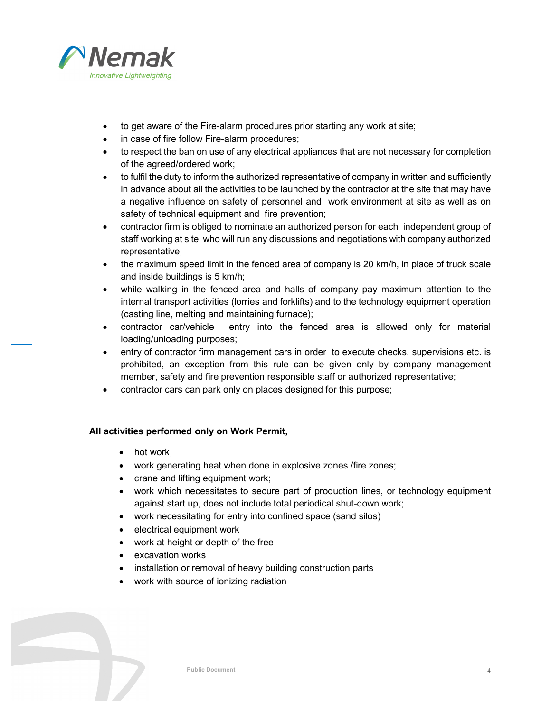

- to get aware of the Fire-alarm procedures prior starting any work at site;
- in case of fire follow Fire-alarm procedures;
- to respect the ban on use of any electrical appliances that are not necessary for completion of the agreed/ordered work;
- to fulfil the duty to inform the authorized representative of company in written and sufficiently in advance about all the activities to be launched by the contractor at the site that may have a negative influence on safety of personnel and work environment at site as well as on safety of technical equipment and fire prevention;
- contractor firm is obliged to nominate an authorized person for each independent group of staff working at site who will run any discussions and negotiations with company authorized representative;
- the maximum speed limit in the fenced area of company is 20 km/h, in place of truck scale and inside buildings is 5 km/h;
- while walking in the fenced area and halls of company pay maximum attention to the internal transport activities (lorries and forklifts) and to the technology equipment operation (casting line, melting and maintaining furnace);
- contractor car/vehicle entry into the fenced area is allowed only for material loading/unloading purposes;
- entry of contractor firm management cars in order to execute checks, supervisions etc. is prohibited, an exception from this rule can be given only by company management member, safety and fire prevention responsible staff or authorized representative;
- contractor cars can park only on places designed for this purpose;

# **All activities performed only on Work Permit,**

- hot work:
- work generating heat when done in explosive zones /fire zones;
- crane and lifting equipment work;
- work which necessitates to secure part of production lines, or technology equipment against start up, does not include total periodical shut-down work;
- work necessitating for entry into confined space (sand silos)
- electrical equipment work
- work at height or depth of the free
- excavation works
- installation or removal of heavy building construction parts
- work with source of ionizing radiation

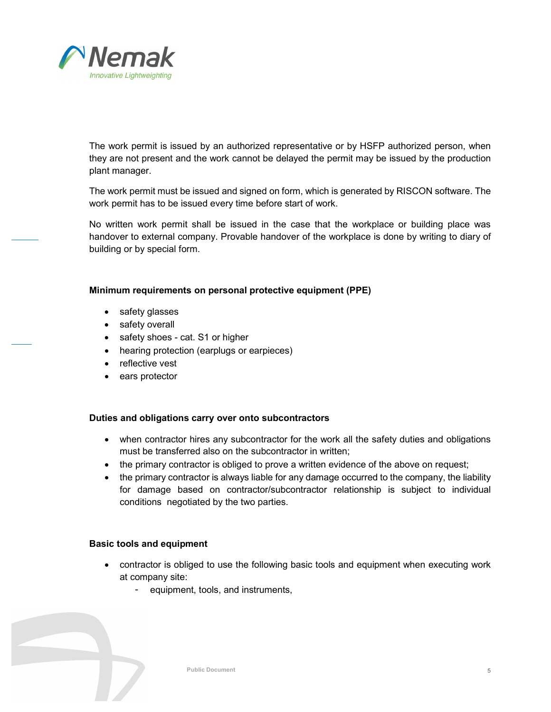

The work permit is issued by an authorized representative or by HSFP authorized person, when they are not present and the work cannot be delayed the permit may be issued by the production plant manager.

The work permit must be issued and signed on form, which is generated by RISCON software. The work permit has to be issued every time before start of work.

No written work permit shall be issued in the case that the workplace or building place was handover to external company. Provable handover of the workplace is done by writing to diary of building or by special form.

#### **Minimum requirements on personal protective equipment (PPE)**

- safety glasses
- safety overall
- safety shoes cat. S1 or higher
- hearing protection (earplugs or earpieces)
- reflective vest
- ears protector

# **Duties and obligations carry over onto subcontractors**

- when contractor hires any subcontractor for the work all the safety duties and obligations must be transferred also on the subcontractor in written;
- the primary contractor is obliged to prove a written evidence of the above on request;
- the primary contractor is always liable for any damage occurred to the company, the liability for damage based on contractor/subcontractor relationship is subject to individual conditions negotiated by the two parties.

# **Basic tools and equipment**

- contractor is obliged to use the following basic tools and equipment when executing work at company site:
	- equipment, tools, and instruments,

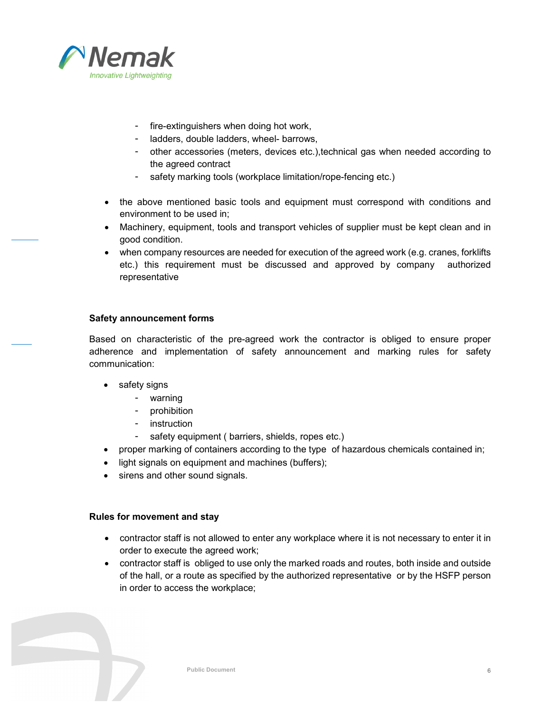

- fire-extinguishers when doing hot work,
- ladders, double ladders, wheel- barrows,
- other accessories (meters, devices etc.),technical gas when needed according to the agreed contract
- safety marking tools (workplace limitation/rope-fencing etc.)
- the above mentioned basic tools and equipment must correspond with conditions and environment to be used in;
- Machinery, equipment, tools and transport vehicles of supplier must be kept clean and in good condition.
- when company resources are needed for execution of the agreed work (e.g. cranes, forklifts etc.) this requirement must be discussed and approved by company authorized representative

# **Safety announcement forms**

Based on characteristic of the pre-agreed work the contractor is obliged to ensure proper adherence and implementation of safety announcement and marking rules for safety communication:

- safety signs
	- warning
	- prohibition
	- instruction
	- safety equipment ( barriers, shields, ropes etc.)
- proper marking of containers according to the type of hazardous chemicals contained in;
- light signals on equipment and machines (buffers);
- sirens and other sound signals.

# **Rules for movement and stay**

- contractor staff is not allowed to enter any workplace where it is not necessary to enter it in order to execute the agreed work;
- contractor staff is obliged to use only the marked roads and routes, both inside and outside of the hall, or a route as specified by the authorized representative or by the HSFP person in order to access the workplace;

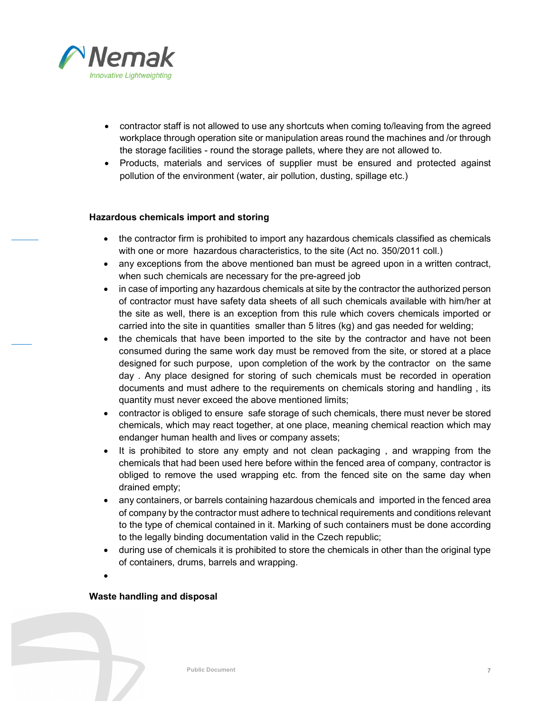

- contractor staff is not allowed to use any shortcuts when coming to/leaving from the agreed workplace through operation site or manipulation areas round the machines and /or through the storage facilities - round the storage pallets, where they are not allowed to.
- Products, materials and services of supplier must be ensured and protected against pollution of the environment (water, air pollution, dusting, spillage etc.)

# **Hazardous chemicals import and storing**

- the contractor firm is prohibited to import any hazardous chemicals classified as chemicals with one or more hazardous characteristics, to the site (Act no. 350/2011 coll.)
- any exceptions from the above mentioned ban must be agreed upon in a written contract, when such chemicals are necessary for the pre-agreed job
- in case of importing any hazardous chemicals at site by the contractor the authorized person of contractor must have safety data sheets of all such chemicals available with him/her at the site as well, there is an exception from this rule which covers chemicals imported or carried into the site in quantities smaller than 5 litres (kg) and gas needed for welding;
- the chemicals that have been imported to the site by the contractor and have not been consumed during the same work day must be removed from the site, or stored at a place designed for such purpose, upon completion of the work by the contractor on the same day . Any place designed for storing of such chemicals must be recorded in operation documents and must adhere to the requirements on chemicals storing and handling , its quantity must never exceed the above mentioned limits;
- contractor is obliged to ensure safe storage of such chemicals, there must never be stored chemicals, which may react together, at one place, meaning chemical reaction which may endanger human health and lives or company assets;
- It is prohibited to store any empty and not clean packaging, and wrapping from the chemicals that had been used here before within the fenced area of company, contractor is obliged to remove the used wrapping etc. from the fenced site on the same day when drained empty;
- any containers, or barrels containing hazardous chemicals and imported in the fenced area of company by the contractor must adhere to technical requirements and conditions relevant to the type of chemical contained in it. Marking of such containers must be done according to the legally binding documentation valid in the Czech republic;
- during use of chemicals it is prohibited to store the chemicals in other than the original type of containers, drums, barrels and wrapping.
- •

# **Waste handling and disposal**